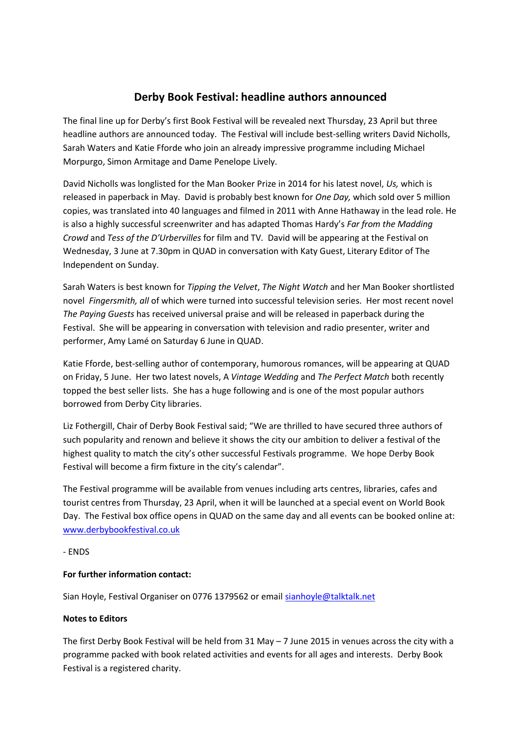## **Derby Book Festival: headline authors announced**

The final line up for Derby's first Book Festival will be revealed next Thursday, 23 April but three headline authors are announced today. The Festival will include best-selling writers David Nicholls, Sarah Waters and Katie Fforde who join an already impressive programme including Michael Morpurgo, Simon Armitage and Dame Penelope Lively.

David Nicholls was longlisted for the Man Booker Prize in 2014 for his latest novel, *Us,* which is released in paperback in May. David is probably best known for *One Day,* which sold over 5 million copies, was translated into 40 languages and filmed in 2011 with Anne Hathaway in the lead role. He is also a highly successful screenwriter and has adapted Thomas Hardy's *Far from the Madding Crowd* and *Tess of the D'Urbervilles* for film and TV*.* David will be appearing at the Festival on Wednesday, 3 June at 7.30pm in QUAD in conversation with Katy Guest, Literary Editor of The Independent on Sunday.

Sarah Waters is best known for *Tipping the Velvet*, *The Night Watch* and her Man Booker shortlisted novel *Fingersmith, all* of which were turned into successful television series. Her most recent novel *The Paying Guests* has received universal praise and will be released in paperback during the Festival. She will be appearing in conversation with television and radio presenter, writer and performer, Amy Lamé on Saturday 6 June in QUAD.

Katie Fforde, best-selling author of contemporary, humorous romances, will be appearing at QUAD on Friday, 5 June. Her two latest novels, A *Vintage Wedding* and *The Perfect Match* both recently topped the best seller lists. She has a huge following and is one of the most popular authors borrowed from Derby City libraries.

Liz Fothergill, Chair of Derby Book Festival said; "We are thrilled to have secured three authors of such popularity and renown and believe it shows the city our ambition to deliver a festival of the highest quality to match the city's other successful Festivals programme. We hope Derby Book Festival will become a firm fixture in the city's calendar".

The Festival programme will be available from venues including arts centres, libraries, cafes and tourist centres from Thursday, 23 April, when it will be launched at a special event on World Book Day. The Festival box office opens in QUAD on the same day and all events can be booked online at: [www.derbybookfestival.co.uk](http://www.derbybookfestival.co.uk/)

- ENDS

## **For further information contact:**

Sian Hoyle, Festival Organiser on 0776 1379562 or email [sianhoyle@talktalk.net](mailto:sianhoyle@talktalk.net)

## **Notes to Editors**

The first Derby Book Festival will be held from 31 May – 7 June 2015 in venues across the city with a programme packed with book related activities and events for all ages and interests. Derby Book Festival is a registered charity.